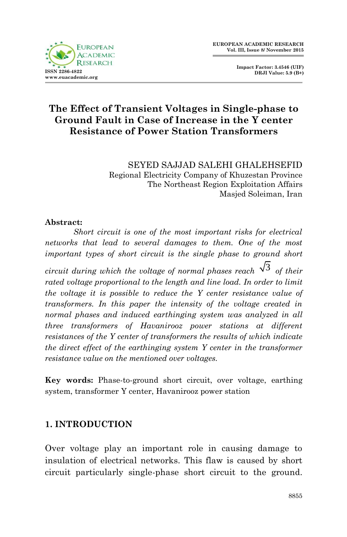

**Impact Factor: 3.4546 (UIF) DRJI Value: 5.9 (B+)**

# **The Effect of Transient Voltages in Single-phase to Ground Fault in Case of Increase in the Y center Resistance of Power Station Transformers**

SEYED SAJJAD SALEHI GHALEHSEFID Regional Electricity Company of Khuzestan Province The Northeast Region Exploitation Affairs Masjed Soleiman, Iran

#### **Abstract:**

*Short circuit is one of the most important risks for electrical networks that lead to several damages to them. One of the most important types of short circuit is the single phase to ground short circuit during which the voltage of normal phases reach*  $\sqrt{3}$  *of their rated voltage proportional to the length and line load. In order to limit the voltage it is possible to reduce the Y center resistance value of transformers. In this paper the intensity of the voltage created in normal phases and induced earthinging system was analyzed in all three transformers of Havanirooz power stations at different resistances of the Y center of transformers the results of which indicate the direct effect of the earthinging system Y center in the transformer resistance value on the mentioned over voltages.* 

**Key words:** Phase-to-ground short circuit, over voltage, earthing system, transformer Y center, Havanirooz power station

### **1. INTRODUCTION**

Over voltage play an important role in causing damage to insulation of electrical networks. This flaw is caused by short circuit particularly single-phase short circuit to the ground.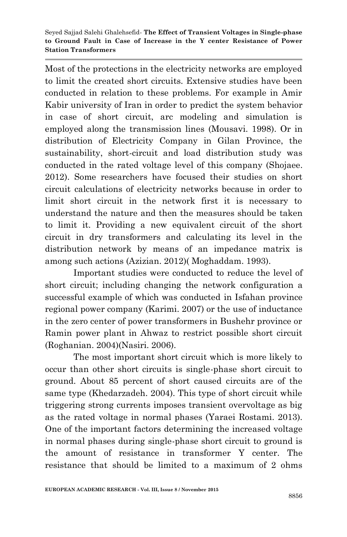Most of the protections in the electricity networks are employed to limit the created short circuits. Extensive studies have been conducted in relation to these problems. For example in Amir Kabir university of Iran in order to predict the system behavior in case of short circuit, arc modeling and simulation is employed along the transmission lines (Mousavi. 1998). Or in distribution of Electricity Company in Gilan Province, the sustainability, short-circuit and load distribution study was conducted in the rated voltage level of this company (Shojaee. 2012). Some researchers have focused their studies on short circuit calculations of electricity networks because in order to limit short circuit in the network first it is necessary to understand the nature and then the measures should be taken to limit it. Providing a new equivalent circuit of the short circuit in dry transformers and calculating its level in the distribution network by means of an impedance matrix is among such actions (Azizian. 2012)( Moghaddam. 1993).

Important studies were conducted to reduce the level of short circuit; including changing the network configuration a successful example of which was conducted in Isfahan province regional power company (Karimi. 2007) or the use of inductance in the zero center of power transformers in Bushehr province or Ramin power plant in Ahwaz to restrict possible short circuit (Roghanian. 2004)(Nasiri. 2006).

The most important short circuit which is more likely to occur than other short circuits is single-phase short circuit to ground. About 85 percent of short caused circuits are of the same type (Khedarzadeh. 2004). This type of short circuit while triggering strong currents imposes transient overvoltage as big as the rated voltage in normal phases (Yaraei Rostami. 2013). One of the important factors determining the increased voltage in normal phases during single-phase short circuit to ground is the amount of resistance in transformer Y center. The resistance that should be limited to a maximum of 2 ohms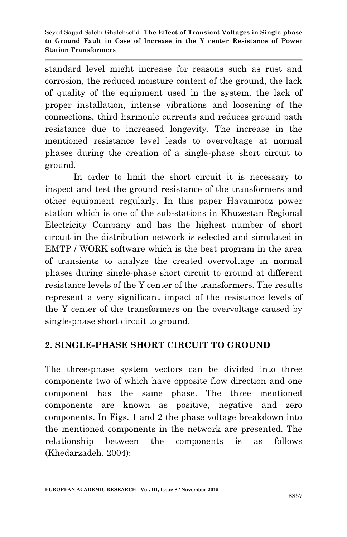standard level might increase for reasons such as rust and corrosion, the reduced moisture content of the ground, the lack of quality of the equipment used in the system, the lack of proper installation, intense vibrations and loosening of the connections, third harmonic currents and reduces ground path resistance due to increased longevity. The increase in the mentioned resistance level leads to overvoltage at normal phases during the creation of a single-phase short circuit to ground.

In order to limit the short circuit it is necessary to inspect and test the ground resistance of the transformers and other equipment regularly. In this paper Havanirooz power station which is one of the sub-stations in Khuzestan Regional Electricity Company and has the highest number of short circuit in the distribution network is selected and simulated in EMTP / WORK software which is the best program in the area of transients to analyze the created overvoltage in normal phases during single-phase short circuit to ground at different resistance levels of the Y center of the transformers. The results represent a very significant impact of the resistance levels of the Y center of the transformers on the overvoltage caused by single-phase short circuit to ground.

# **2. SINGLE-PHASE SHORT CIRCUIT TO GROUND**

The three-phase system vectors can be divided into three components two of which have opposite flow direction and one component has the same phase. The three mentioned components are known as positive, negative and zero components. In Figs. 1 and 2 the phase voltage breakdown into the mentioned components in the network are presented. The relationship between the components is as follows (Khedarzadeh. 2004):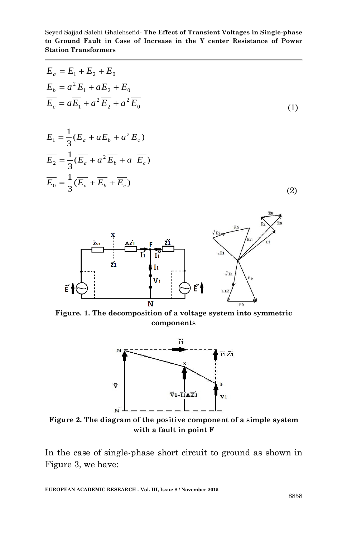$$
E_a = E_1 + E_2 + E_0
$$
  
\n
$$
\overline{E_b} = a^2 \overline{E_1} + a \overline{E_2} + \overline{E_0}
$$
  
\n
$$
\overline{E_c} = a \overline{E_1} + a^2 \overline{E_2} + a^2 \overline{E_0}
$$
  
\n
$$
\overline{E_1} = \frac{1}{3} (\overline{E_a} + a \overline{E_b} + a^2 \overline{E_c})
$$
  
\n
$$
\overline{E_2} = \frac{1}{3} (\overline{E_a} + a^2 \overline{E_b} + a \overline{E_c})
$$
  
\n
$$
\overline{E_0} = \frac{1}{3} (\overline{E_a} + \overline{E_b} + \overline{E_c})
$$
  
\n(2)  
\n
$$
\overline{E_1} = \frac{1}{3} (\overline{E_a} + \overline{E_b} + \overline{E_c})
$$
  
\n(3)



**components**



**Figure 2. The diagram of the positive component of a simple system with a fault in point F**

In the case of single-phase short circuit to ground as shown in Figure 3, we have: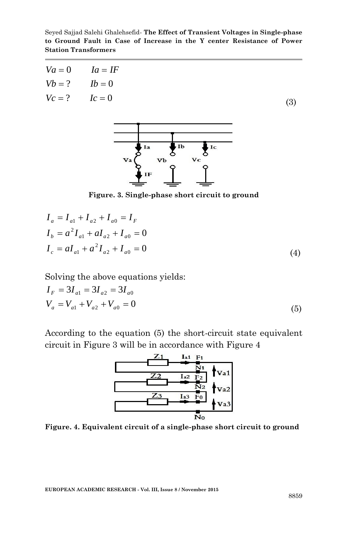Seyed Sajjad Salehi Ghalehsefid*-* **The Effect of Transient Voltages in Single-phase to Ground Fault in Case of Increase in the Y center Resistance of Power Station Transformers**

|                   | $Va = 0$ $Ia = IF$ |     |
|-------------------|--------------------|-----|
|                   | $Vb = ?$ $Ib = 0$  |     |
| $Vc = ?$ $Ic = 0$ |                    | (3) |



**Figure. 3. Single-phase short circuit to ground**

$$
I_a = I_{a1} + I_{a2} + I_{a0} = I_F
$$
  
\n
$$
I_b = a^2 I_{a1} + aI_{a2} + I_{a0} = 0
$$
  
\n
$$
I_c = aI_{a1} + a^2 I_{a2} + I_{a0} = 0
$$
  
\n(4)

Solving the above equations yields:

$$
I_F = 3I_{a1} = 3I_{a2} = 3I_{a0}
$$
  
\n
$$
V_a = V_{a1} + V_{a2} + V_{a0} = 0
$$
\n(5)

According to the equation (5) the short-circuit state equivalent circuit in Figure 3 will be in accordance with Figure 4



**Figure. 4. Equivalent circuit of a single-phase short circuit to ground**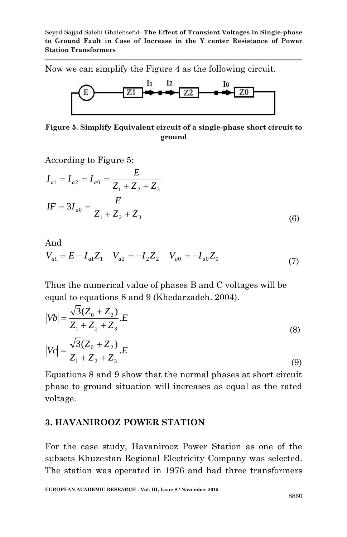Now we can simplify the Figure 4 as the following circuit.



**Figure 5. Simplify Equivalent circuit of a single-phase short circuit to ground**

According to Figure 5:

$$
I_{a1} = I_{a2} = I_{a0} = \frac{E}{Z_1 + Z_2 + Z_3}
$$
  

$$
IF = 3I_{a0} = \frac{E}{Z_1 + Z_2 + Z_3}
$$
(6)

And  
\n
$$
V_{a1} = E - I_{a1}Z_1 \t V_{a2} = -I_2Z_2 \t V_{a0} = -I_{a0}Z_0
$$
\n(7)

Thus the numerical value of phases B and C voltages will be equal to equations 8 and 9 (Khedarzadeh. 2004).

$$
|Vb| = \frac{\sqrt{3}(Z_0 + Z_2)}{Z_1 + Z_2 + Z_3} E
$$
  
\n
$$
|Vc| = \frac{\sqrt{3}(Z_0 + Z_2)}{Z_1 + Z_2 + Z_3} E
$$
  
\n(8)

Equations 8 and 9 show that the normal phases at short circuit phase to ground situation will increases as equal as the rated voltage.

### **3. HAVANIROOZ POWER STATION**

For the case study, Havanirooz Power Station as one of the subsets Khuzestan Regional Electricity Company was selected. The station was operated in 1976 and had three transformers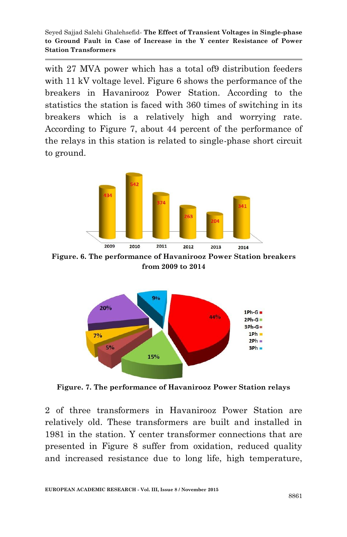with 27 MVA power which has a total of 9 distribution feeders with 11 kV voltage level. Figure 6 shows the performance of the breakers in Havanirooz Power Station. According to the statistics the station is faced with 360 times of switching in its breakers which is a relatively high and worrying rate. According to Figure 7, about 44 percent of the performance of the relays in this station is related to single-phase short circuit to ground.



**Figure. 6. The performance of Havanirooz Power Station breakers from 2009 to 2014**



**Figure. 7. The performance of Havanirooz Power Station relays**

2 of three transformers in Havanirooz Power Station are relatively old. These transformers are built and installed in 1981 in the station. Y center transformer connections that are presented in Figure 8 suffer from oxidation, reduced quality and increased resistance due to long life, high temperature,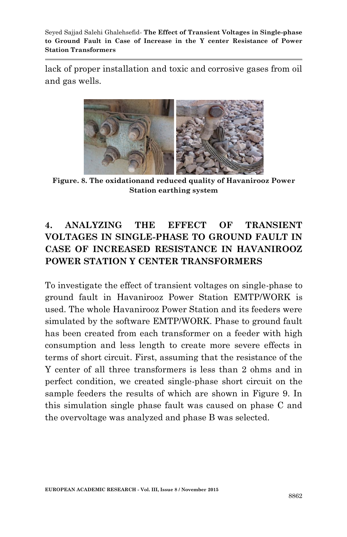lack of proper installation and toxic and corrosive gases from oil and gas wells.



**Figure. 8. The oxidationand reduced quality of Havanirooz Power Station earthing system**

# **4. ANALYZING THE EFFECT OF TRANSIENT VOLTAGES IN SINGLE-PHASE TO GROUND FAULT IN CASE OF INCREASED RESISTANCE IN HAVANIROOZ POWER STATION Y CENTER TRANSFORMERS**

To investigate the effect of transient voltages on single-phase to ground fault in Havanirooz Power Station EMTP/WORK is used. The whole Havanirooz Power Station and its feeders were simulated by the software EMTP/WORK. Phase to ground fault has been created from each transformer on a feeder with high consumption and less length to create more severe effects in terms of short circuit. First, assuming that the resistance of the Y center of all three transformers is less than 2 ohms and in perfect condition, we created single-phase short circuit on the sample feeders the results of which are shown in Figure 9. In this simulation single phase fault was caused on phase C and the overvoltage was analyzed and phase B was selected.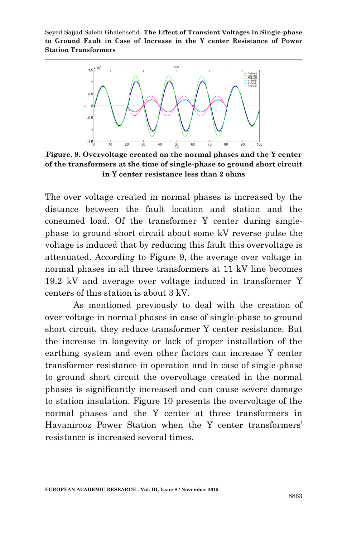

**Figure. 9. Overvoltage created on the normal phases and the Y center of the transformers at the time of single-phase to ground short circuit in Y center resistance less than 2 ohms**

The over voltage created in normal phases is increased by the distance between the fault location and station and the consumed load. Of the transformer Y center during singlephase to ground short circuit about some kV reverse pulse the voltage is induced that by reducing this fault this overvoltage is attenuated. According to Figure 9, the average over voltage in normal phases in all three transformers at 11 kV line becomes 19.2 kV and average over voltage induced in transformer Y centers of this station is about 3 kV.

As mentioned previously to deal with the creation of over voltage in normal phases in case of single-phase to ground short circuit, they reduce transformer Y center resistance. But the increase in longevity or lack of proper installation of the earthing system and even other factors can increase Y center transformer resistance in operation and in case of single-phase to ground short circuit the overvoltage created in the normal phases is significantly increased and can cause severe damage to station insulation. Figure 10 presents the overvoltage of the normal phases and the Y center at three transformers in Havanirooz Power Station when the Y center transformers' resistance is increased several times.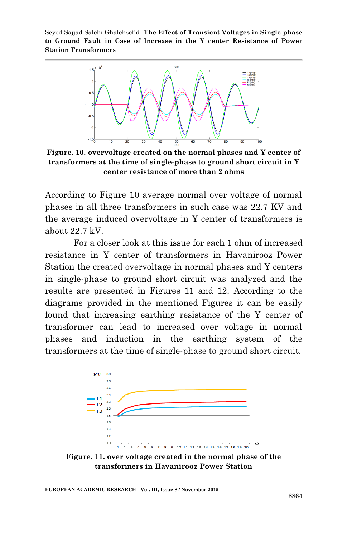

**Figure. 10. overvoltage created on the normal phases and Y center of transformers at the time of single-phase to ground short circuit in Y center resistance of more than 2 ohms**

According to Figure 10 average normal over voltage of normal phases in all three transformers in such case was 22.7 KV and the average induced overvoltage in Y center of transformers is about 22.7 kV.

For a closer look at this issue for each 1 ohm of increased resistance in Y center of transformers in Havanirooz Power Station the created overvoltage in normal phases and Y centers in single-phase to ground short circuit was analyzed and the results are presented in Figures 11 and 12. According to the diagrams provided in the mentioned Figures it can be easily found that increasing earthing resistance of the Y center of transformer can lead to increased over voltage in normal phases and induction in the earthing system of the transformers at the time of single-phase to ground short circuit.



**Figure. 11. over voltage created in the normal phase of the transformers in Havanirooz Power Station**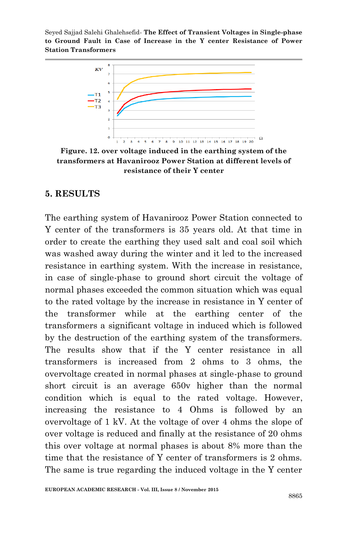

**Figure. 12. over voltage induced in the earthing system of the transformers at Havanirooz Power Station at different levels of resistance of their Y center**

#### **5. RESULTS**

The earthing system of Havanirooz Power Station connected to Y center of the transformers is 35 years old. At that time in order to create the earthing they used salt and coal soil which was washed away during the winter and it led to the increased resistance in earthing system. With the increase in resistance, in case of single-phase to ground short circuit the voltage of normal phases exceeded the common situation which was equal to the rated voltage by the increase in resistance in Y center of the transformer while at the earthing center of the transformers a significant voltage in induced which is followed by the destruction of the earthing system of the transformers. The results show that if the Y center resistance in all transformers is increased from 2 ohms to 3 ohms, the overvoltage created in normal phases at single-phase to ground short circuit is an average 650v higher than the normal condition which is equal to the rated voltage. However, increasing the resistance to 4 Ohms is followed by an overvoltage of 1 kV. At the voltage of over 4 ohms the slope of over voltage is reduced and finally at the resistance of 20 ohms this over voltage at normal phases is about 8% more than the time that the resistance of Y center of transformers is 2 ohms. The same is true regarding the induced voltage in the Y center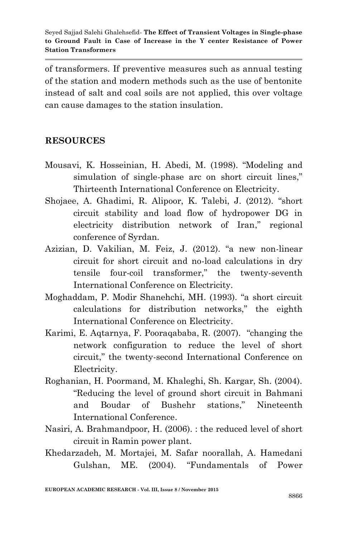of transformers. If preventive measures such as annual testing of the station and modern methods such as the use of bentonite instead of salt and coal soils are not applied, this over voltage can cause damages to the station insulation.

# **RESOURCES**

- Mousavi, K. Hosseinian, H. Abedi, M. (1998). "Modeling and simulation of single-phase arc on short circuit lines," Thirteenth International Conference on Electricity.
- Shojaee, A. Ghadimi, R. Alipoor, K. Talebi, J. (2012). "short circuit stability and load flow of hydropower DG in electricity distribution network of Iran," regional conference of Syrdan.
- Azizian, D. Vakilian, M. Feiz, J. (2012). "a new non-linear circuit for short circuit and no-load calculations in dry tensile four-coil transformer," the twenty-seventh International Conference on Electricity.
- Moghaddam, P. Modir Shanehchi, MH. (1993). "a short circuit calculations for distribution networks," the eighth International Conference on Electricity.
- Karimi, E. Aqtarnya, F. Pooraqababa, R. (2007). "changing the network configuration to reduce the level of short circuit," the twenty-second International Conference on Electricity.
- Roghanian, H. Poormand, M. Khaleghi, Sh. Kargar, Sh. (2004). "Reducing the level of ground short circuit in Bahmani and Boudar of Bushehr stations," Nineteenth International Conference.
- Nasiri, A. Brahmandpoor, H. (2006). : the reduced level of short circuit in Ramin power plant.
- Khedarzadeh, M. Mortajei, M. Safar noorallah, A. Hamedani Gulshan, ME. (2004). "Fundamentals of Power